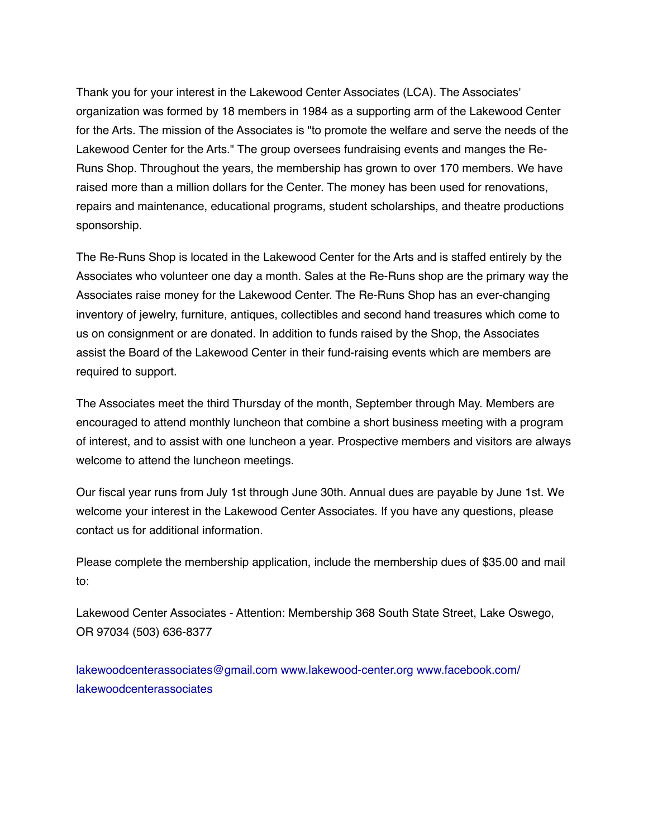Thank you for your interest in the Lakewood Center Associates (LCA). The Associates' organization was formed by 18 members in 1984 as a supporting arm of the Lakewood Center for the Arts. The mission of the Associates is "to promote the welfare and serve the needs of the Lakewood Center for the Arts." The group oversees fundraising events and manges the Re-Runs Shop. Throughout the years, the membership has grown to over 170 members. We have raised more than a million dollars for the Center. The money has been used for renovations, repairs and maintenance, educational programs, student scholarships, and theatre productions sponsorship.

The Re-Runs Shop is located in the Lakewood Center for the Arts and is staffed entirely by the Associates who volunteer one day a month. Sales at the Re-Runs shop are the primary way the Associates raise money for the Lakewood Center. The Re-Runs Shop has an ever-changing inventory of jewelry, furniture, antiques, collectibles and second hand treasures which come to us on consignment or are donated. In addition to funds raised by the Shop, the Associates assist the Board of the Lakewood Center in their fund-raising events which are members are required to support.

The Associates meet the third Thursday of the month, September through May. Members are encouraged to attend monthly luncheon that combine a short business meeting with a program of interest, and to assist with one luncheon a year. Prospective members and visitors are always welcome to attend the luncheon meetings.

Our fiscal year runs from July 1st through June 30th. Annual dues are payable by June 1st. We welcome your interest in the Lakewood Center Associates. If you have any questions, please contact us for additional information.

Please complete the membership application, include the membership dues of \$35.00 and mail to:

Lakewood Center Associates - Attention: Membership 368 South State Street, Lake Oswego, OR 97034 (503) 636-8377

lakewoodcenterassociates@gmail.com www.lakewood-center.org www.facebook.com/ lakewoodcenterassociates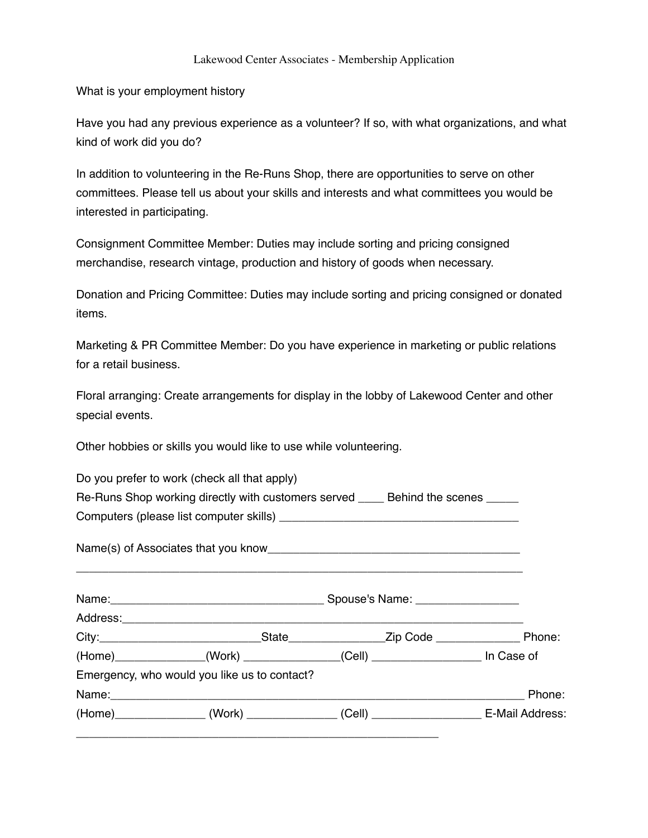## Lakewood Center Associates - Membership Application

What is your employment history

Have you had any previous experience as a volunteer? If so, with what organizations, and what kind of work did you do?

In addition to volunteering in the Re-Runs Shop, there are opportunities to serve on other committees. Please tell us about your skills and interests and what committees you would be interested in participating.

Consignment Committee Member: Duties may include sorting and pricing consigned merchandise, research vintage, production and history of goods when necessary.

Donation and Pricing Committee: Duties may include sorting and pricing consigned or donated items.

Marketing & PR Committee Member: Do you have experience in marketing or public relations for a retail business.

Floral arranging: Create arrangements for display in the lobby of Lakewood Center and other special events.

Other hobbies or skills you would like to use while volunteering.

| Do you prefer to work (check all that apply)                                       |  |  |  |        |
|------------------------------------------------------------------------------------|--|--|--|--------|
| Re-Runs Shop working directly with customers served ______ Behind the scenes _____ |  |  |  |        |
|                                                                                    |  |  |  |        |
|                                                                                    |  |  |  |        |
|                                                                                    |  |  |  |        |
|                                                                                    |  |  |  |        |
| (Home)______________(Work) _____________(Cell) __________________ In Case of       |  |  |  |        |
| Emergency, who would you like us to contact?                                       |  |  |  |        |
|                                                                                    |  |  |  | Phone: |
| (Home)_______________(Work) _____________(Cell) ___________________E-Mail Address: |  |  |  |        |